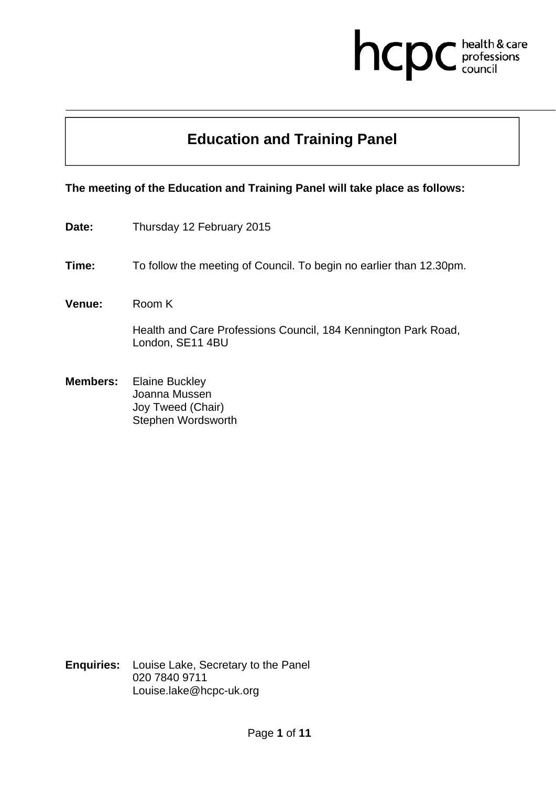# hcpc health & care<br>professions<br>council

## **Education and Training Panel**

### **The meeting of the Education and Training Panel will take place as follows:**

- Date: Thursday 12 February 2015
- **Time:** To follow the meeting of Council. To begin no earlier than 12.30pm.
- **Venue:** Room K

Health and Care Professions Council, 184 Kennington Park Road, London, SE11 4BU

**Members:** Elaine Buckley Joanna Mussen Joy Tweed (Chair) Stephen Wordsworth

**Enquiries:** Louise Lake, Secretary to the Panel 020 7840 9711 Louise.lake@hcpc-uk.org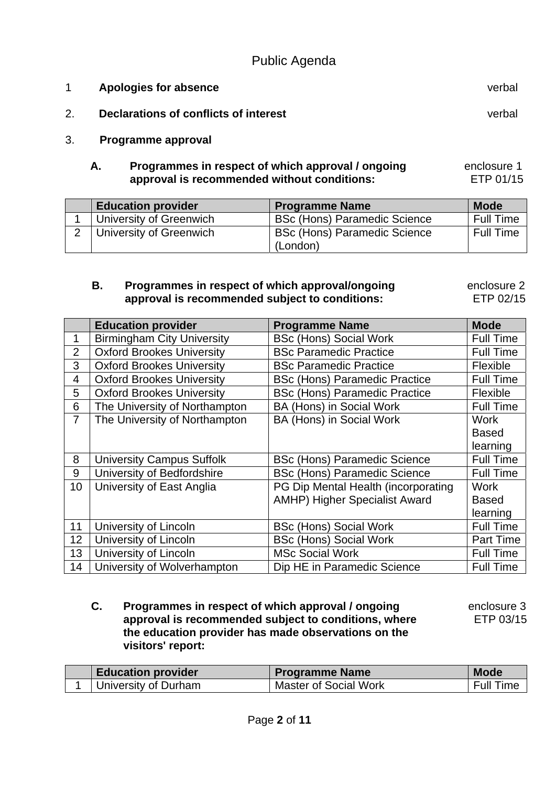| Apologies for absence                 | verbal |
|---------------------------------------|--------|
| Declarations of conflicts of interest | verbal |
| Programme approval                    |        |

#### **A. Programmes in respect of which approval / ongoing approval is recommended without conditions:**  enclosure 1 ETP 01/15

| <b>Education provider</b> | <b>Programme Name</b>               | <b>Mode</b> |
|---------------------------|-------------------------------------|-------------|
| University of Greenwich   | <b>BSc (Hons) Paramedic Science</b> | Full Time   |
| University of Greenwich   | <b>BSc (Hons) Paramedic Science</b> | Full Time   |
|                           | (London)                            |             |

#### **B. Programmes in respect of which approval/ongoing approval is recommended subject to conditions:**  enclosure 2 ETP 02/15

**Education provider Frogramme Name Mode** Mode 1 | Birmingham City University | BSc (Hons) Social Work | Full Time 2 | Oxford Brookes University | BSc Paramedic Practice | Full Time 3 | Oxford Brookes University | BSc Paramedic Practice | Flexible 4 | Oxford Brookes University | BSc (Hons) Paramedic Practice | Full Time 5 | Oxford Brookes University | BSc (Hons) Paramedic Practice | Flexible 6 The University of Northampton | BA (Hons) in Social Work | Full Time 7 The University of Northampton | BA (Hons) in Social Work | Work **Based** learning 8 | University Campus Suffolk | BSc (Hons) Paramedic Science | Full Time 9 | University of Bedfordshire | BSc (Hons) Paramedic Science | Full Time 10 | University of East Anglia | PG Dip Mental Health (incorporating AMHP) Higher Specialist Award **Work** Based learning 11 | University of Lincoln | BSc (Hons) Social Work | Full Time 12 University of Lincoln BSc (Hons) Social Work Part Time 13 | University of Lincoln | MSc Social Work | Full Time 14 | University of Wolverhampton | Dip HE in Paramedic Science | Full Time

 **C. Programmes in respect of which approval / ongoing approval is recommended subject to conditions, where the education provider has made observations on the visitors' report:** 

 enclosure 3 ETP 03/15

| <b>Education provider</b> | <b>Programme Name</b>        | <b>Mode</b>      |
|---------------------------|------------------------------|------------------|
| University of Durham      | <b>Master of Social Work</b> | <b>Full Time</b> |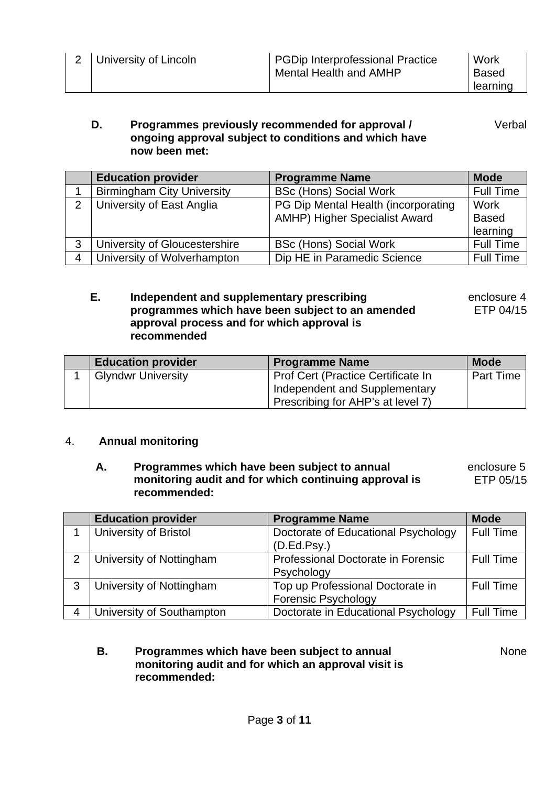#### **D. Programmes previously recommended for approval / ongoing approval subject to conditions and which have now been met:**  Verbal

|               | <b>Education provider</b>         | <b>Programme Name</b>                | <b>Mode</b>      |
|---------------|-----------------------------------|--------------------------------------|------------------|
|               | <b>Birmingham City University</b> | <b>BSc (Hons) Social Work</b>        | <b>Full Time</b> |
| $\mathcal{D}$ | University of East Anglia         | PG Dip Mental Health (incorporating  | Work             |
|               |                                   | <b>AMHP) Higher Specialist Award</b> | <b>Based</b>     |
|               |                                   |                                      | learning         |
| 3             | University of Gloucestershire     | <b>BSc (Hons) Social Work</b>        | <b>Full Time</b> |
| 4             | University of Wolverhampton       | Dip HE in Paramedic Science          | <b>Full Time</b> |

#### **E. Independent and supplementary prescribing programmes which have been subject to an amended approval process and for which approval is recommended**

 enclosure 4 ETP 04/15

| <b>Education provider</b> | <b>Programme Name</b>              | <b>Mode</b>      |
|---------------------------|------------------------------------|------------------|
| <b>Glyndwr University</b> | Prof Cert (Practice Certificate In | <b>Part Time</b> |
|                           | Independent and Supplementary      |                  |
|                           | Prescribing for AHP's at level 7)  |                  |

### 4. **Annual monitoring**

#### **A. Programmes which have been subject to annual monitoring audit and for which continuing approval is recommended:** enclosure 5 ETP 05/15

|   | <b>Education provider</b> | <b>Programme Name</b>                                          | <b>Mode</b>      |
|---|---------------------------|----------------------------------------------------------------|------------------|
|   | University of Bristol     | Doctorate of Educational Psychology<br>(D.Ed.Psy.)             | <b>Full Time</b> |
| ◠ | University of Nottingham  | Professional Doctorate in Forensic<br>Psychology               | <b>Full Time</b> |
| 3 | University of Nottingham  | Top up Professional Doctorate in<br><b>Forensic Psychology</b> | <b>Full Time</b> |
|   | University of Southampton | Doctorate in Educational Psychology                            | <b>Full Time</b> |

#### **B. Programmes which have been subject to annual monitoring audit and for which an approval visit is recommended:**

None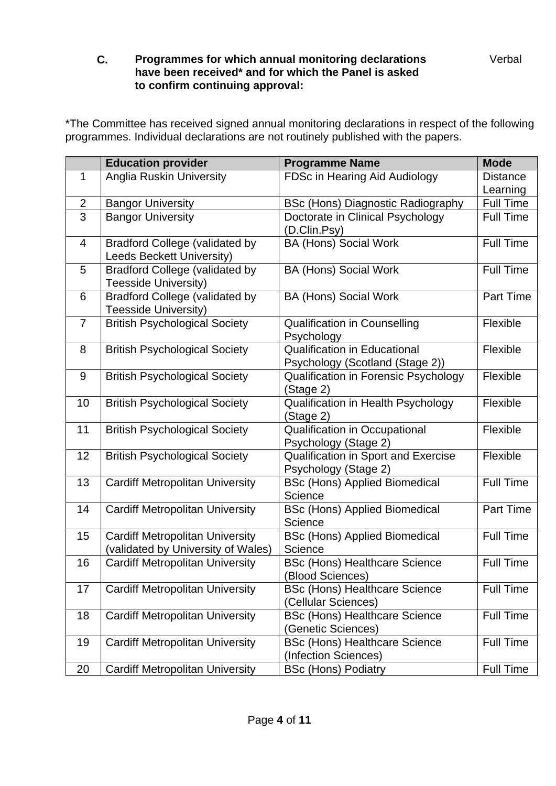### **C. Programmes for which annual monitoring declarations have been received\* and for which the Panel is asked to confirm continuing approval:**

\*The Committee has received signed annual monitoring declarations in respect of the following programmes. Individual declarations are not routinely published with the papers.

| <b>Education provider</b>                               | <b>Programme Name</b>                                          | <b>Mode</b>      |
|---------------------------------------------------------|----------------------------------------------------------------|------------------|
| <b>Anglia Ruskin University</b><br>1                    | FDSc in Hearing Aid Audiology                                  | <b>Distance</b>  |
|                                                         |                                                                | Learning         |
| <b>Bangor University</b><br>$\overline{2}$              | <b>BSc (Hons) Diagnostic Radiography</b>                       | <b>Full Time</b> |
| $\overline{3}$<br><b>Bangor University</b>              | Doctorate in Clinical Psychology                               | <b>Full Time</b> |
|                                                         | (D.Clin.Psy)                                                   |                  |
| <b>Bradford College (validated by</b><br>$\overline{4}$ | <b>BA (Hons) Social Work</b>                                   | <b>Full Time</b> |
| Leeds Beckett University)                               |                                                                |                  |
| <b>Bradford College (validated by</b><br>5              | <b>BA (Hons) Social Work</b>                                   | <b>Full Time</b> |
| Teesside University)                                    |                                                                |                  |
| <b>Bradford College (validated by</b><br>6              | <b>BA (Hons) Social Work</b>                                   | <b>Part Time</b> |
| <b>Teesside University)</b>                             |                                                                |                  |
| $\overline{7}$<br><b>British Psychological Society</b>  | <b>Qualification in Counselling</b>                            | Flexible         |
|                                                         | Psychology                                                     |                  |
| <b>British Psychological Society</b><br>8               | <b>Qualification in Educational</b>                            | Flexible         |
|                                                         | Psychology (Scotland (Stage 2))                                |                  |
| <b>British Psychological Society</b><br>9               | Qualification in Forensic Psychology                           | Flexible         |
|                                                         | (Stage 2)                                                      |                  |
| 10<br><b>British Psychological Society</b>              | Qualification in Health Psychology                             | Flexible         |
|                                                         | (Stage 2)                                                      |                  |
| 11<br><b>British Psychological Society</b>              | <b>Qualification in Occupational</b>                           | Flexible         |
|                                                         | Psychology (Stage 2)                                           |                  |
| 12<br><b>British Psychological Society</b>              | <b>Qualification in Sport and Exercise</b>                     | Flexible         |
|                                                         | Psychology (Stage 2)                                           |                  |
| 13<br><b>Cardiff Metropolitan University</b>            | <b>BSc (Hons) Applied Biomedical</b>                           | <b>Full Time</b> |
|                                                         | Science                                                        |                  |
| <b>Cardiff Metropolitan University</b><br>14            | <b>BSc (Hons) Applied Biomedical</b>                           | Part Time        |
|                                                         | Science                                                        |                  |
| <b>Cardiff Metropolitan University</b><br>15            | <b>BSc (Hons) Applied Biomedical</b><br>Science                | <b>Full Time</b> |
| (validated by University of Wales)<br>16                |                                                                | <b>Full Time</b> |
| <b>Cardiff Metropolitan University</b>                  | <b>BSc (Hons) Healthcare Science</b><br><b>Blood Sciences)</b> |                  |
| <b>Cardiff Metropolitan University</b><br>17            | <b>BSc (Hons) Healthcare Science</b>                           | <b>Full Time</b> |
|                                                         | (Cellular Sciences)                                            |                  |
| <b>Cardiff Metropolitan University</b><br>18            | <b>BSc (Hons) Healthcare Science</b>                           | <b>Full Time</b> |
|                                                         | (Genetic Sciences)                                             |                  |
| <b>Cardiff Metropolitan University</b><br>19            | <b>BSc (Hons) Healthcare Science</b>                           | <b>Full Time</b> |
|                                                         | (Infection Sciences)                                           |                  |
| <b>Cardiff Metropolitan University</b><br>20            | <b>BSc (Hons) Podiatry</b>                                     | Full Time        |

Verbal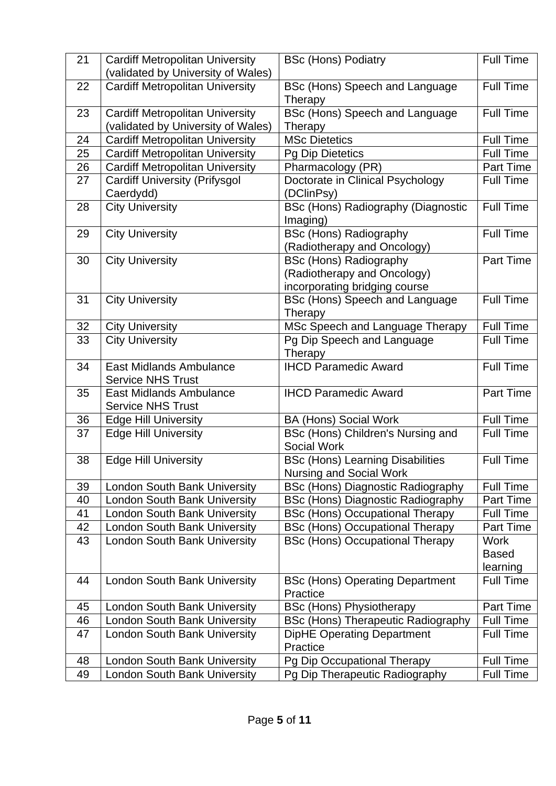| 21       | <b>Cardiff Metropolitan University</b> | <b>BSc (Hons) Podiatry</b>                                                       | <b>Full Time</b>         |
|----------|----------------------------------------|----------------------------------------------------------------------------------|--------------------------|
|          | (validated by University of Wales)     |                                                                                  |                          |
| 22       | <b>Cardiff Metropolitan University</b> | BSc (Hons) Speech and Language                                                   | <b>Full Time</b>         |
|          |                                        | Therapy                                                                          |                          |
| 23       | <b>Cardiff Metropolitan University</b> | BSc (Hons) Speech and Language                                                   | <b>Full Time</b>         |
|          | (validated by University of Wales)     | Therapy                                                                          |                          |
| 24       | <b>Cardiff Metropolitan University</b> | <b>MSc Dietetics</b>                                                             | <b>Full Time</b>         |
| 25       | <b>Cardiff Metropolitan University</b> | <b>Pg Dip Dietetics</b>                                                          | <b>Full Time</b>         |
| 26       | <b>Cardiff Metropolitan University</b> | Pharmacology (PR)                                                                | <b>Part Time</b>         |
| 27       | <b>Cardiff University (Prifysgol</b>   | Doctorate in Clinical Psychology                                                 | <b>Full Time</b>         |
|          | Caerdydd)                              | (DClinPsy)                                                                       |                          |
| 28       | <b>City University</b>                 | <b>BSc (Hons) Radiography (Diagnostic</b>                                        | <b>Full Time</b>         |
|          |                                        | Imaging)                                                                         |                          |
| 29       | <b>City University</b>                 | <b>BSc (Hons) Radiography</b>                                                    | <b>Full Time</b>         |
|          |                                        |                                                                                  |                          |
|          |                                        | (Radiotherapy and Oncology)                                                      | Part Time                |
| 30       | <b>City University</b>                 | <b>BSc (Hons) Radiography</b>                                                    |                          |
|          |                                        | (Radiotherapy and Oncology)                                                      |                          |
|          |                                        | incorporating bridging course                                                    |                          |
| 31       | <b>City University</b>                 | BSc (Hons) Speech and Language                                                   | <b>Full Time</b>         |
|          |                                        | Therapy                                                                          |                          |
| 32       | <b>City University</b>                 | MSc Speech and Language Therapy                                                  | Full Time                |
| 33       | <b>City University</b>                 | Pg Dip Speech and Language                                                       | <b>Full Time</b>         |
|          |                                        | Therapy                                                                          |                          |
| 34       | <b>East Midlands Ambulance</b>         | <b>IHCD Paramedic Award</b>                                                      | <b>Full Time</b>         |
|          | <b>Service NHS Trust</b>               |                                                                                  |                          |
| 35       | <b>East Midlands Ambulance</b>         | <b>IHCD Paramedic Award</b>                                                      | Part Time                |
|          | <b>Service NHS Trust</b>               |                                                                                  |                          |
| 36       | <b>Edge Hill University</b>            | <b>BA (Hons) Social Work</b>                                                     | <b>Full Time</b>         |
| 37       | <b>Edge Hill University</b>            | BSc (Hons) Children's Nursing and                                                | Full Time                |
|          |                                        | <b>Social Work</b>                                                               |                          |
| 38       | <b>Edge Hill University</b>            | <b>BSc (Hons) Learning Disabilities</b>                                          | <b>Full Time</b>         |
|          |                                        | Nursing and Social Work                                                          |                          |
| 39       | <b>London South Bank University</b>    | BSc (Hons) Diagnostic Radiography                                                | <b>Full Time</b>         |
| 40       | <b>London South Bank University</b>    | <b>BSc (Hons) Diagnostic Radiography</b>                                         | Part Time                |
| 41       | <b>London South Bank University</b>    | <b>BSc (Hons) Occupational Therapy</b>                                           | <b>Full Time</b>         |
|          |                                        |                                                                                  |                          |
| 42<br>43 | <b>London South Bank University</b>    | <b>BSc (Hons) Occupational Therapy</b><br><b>BSc (Hons) Occupational Therapy</b> | Part Time<br><b>Work</b> |
|          | <b>London South Bank University</b>    |                                                                                  |                          |
|          |                                        |                                                                                  | <b>Based</b>             |
|          |                                        |                                                                                  | learning                 |
| 44       | <b>London South Bank University</b>    | <b>BSc (Hons) Operating Department</b>                                           | <b>Full Time</b>         |
|          |                                        | Practice                                                                         |                          |
| 45       | <b>London South Bank University</b>    | <b>BSc (Hons) Physiotherapy</b>                                                  | Part Time                |
| 46       | <b>London South Bank University</b>    | <b>BSc (Hons) Therapeutic Radiography</b>                                        | <b>Full Time</b>         |
| 47       | <b>London South Bank University</b>    | <b>DipHE Operating Department</b>                                                | <b>Full Time</b>         |
|          |                                        | Practice                                                                         |                          |
| 48       | <b>London South Bank University</b>    | Pg Dip Occupational Therapy                                                      | <b>Full Time</b>         |
| 49       | <b>London South Bank University</b>    | Pg Dip Therapeutic Radiography                                                   | Full Time                |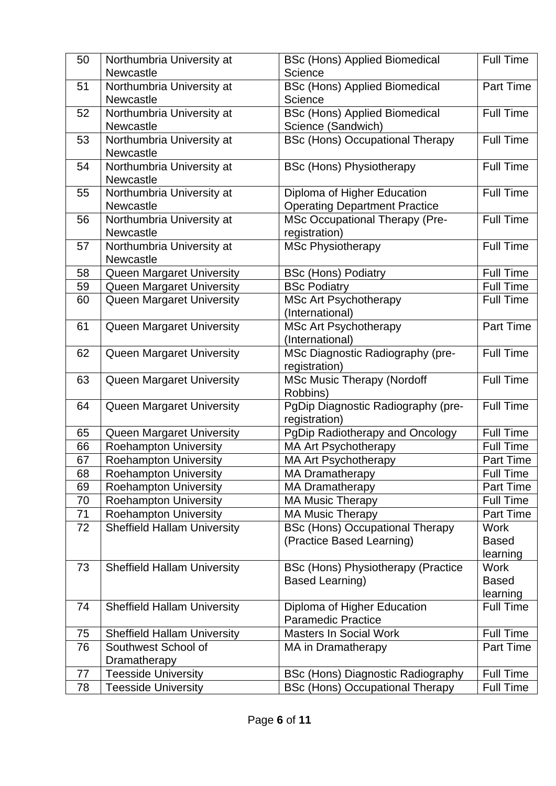| 50       | Northumbria University at<br><b>Newcastle</b>                | <b>BSc (Hons) Applied Biomedical</b><br>Science   | <b>Full Time</b>              |
|----------|--------------------------------------------------------------|---------------------------------------------------|-------------------------------|
| 51       | Northumbria University at                                    | <b>BSc (Hons) Applied Biomedical</b>              | <b>Part Time</b>              |
|          | <b>Newcastle</b>                                             | Science                                           |                               |
| 52       | Northumbria University at                                    | <b>BSc (Hons) Applied Biomedical</b>              | <b>Full Time</b>              |
|          | Newcastle                                                    | Science (Sandwich)                                |                               |
| 53       | Northumbria University at                                    | <b>BSc (Hons) Occupational Therapy</b>            | <b>Full Time</b>              |
|          | Newcastle                                                    |                                                   |                               |
| 54       | Northumbria University at                                    | <b>BSc (Hons) Physiotherapy</b>                   | <b>Full Time</b>              |
|          | Newcastle                                                    |                                                   |                               |
| 55       | Northumbria University at                                    | Diploma of Higher Education                       | <b>Full Time</b>              |
|          | <b>Newcastle</b>                                             | <b>Operating Department Practice</b>              |                               |
| 56       | Northumbria University at<br>Newcastle                       | <b>MSc Occupational Therapy (Pre-</b>             | <b>Full Time</b>              |
| 57       |                                                              | registration)                                     | <b>Full Time</b>              |
|          | Northumbria University at<br>Newcastle                       | <b>MSc Physiotherapy</b>                          |                               |
| 58       | <b>Queen Margaret University</b>                             | <b>BSc (Hons) Podiatry</b>                        | <b>Full Time</b>              |
| 59       | <b>Queen Margaret University</b>                             | <b>BSc Podiatry</b>                               | <b>Full Time</b>              |
| 60       | Queen Margaret University                                    | <b>MSc Art Psychotherapy</b>                      | <b>Full Time</b>              |
|          |                                                              | (International)                                   |                               |
| 61       | <b>Queen Margaret University</b>                             | <b>MSc Art Psychotherapy</b>                      | <b>Part Time</b>              |
|          |                                                              | (International)                                   |                               |
| 62       | <b>Queen Margaret University</b>                             | MSc Diagnostic Radiography (pre-                  | <b>Full Time</b>              |
|          |                                                              | registration)                                     |                               |
| 63       | Queen Margaret University                                    | <b>MSc Music Therapy (Nordoff</b>                 | <b>Full Time</b>              |
|          |                                                              | Robbins)                                          |                               |
| 64       | Queen Margaret University                                    | PgDip Diagnostic Radiography (pre-                | <b>Full Time</b>              |
|          |                                                              | registration)                                     |                               |
| 65       | Queen Margaret University                                    | PgDip Radiotherapy and Oncology                   | <b>Full Time</b>              |
| 66       | <b>Roehampton University</b>                                 | <b>MA Art Psychotherapy</b>                       | <b>Full Time</b>              |
| 67<br>68 | <b>Roehampton University</b>                                 | <b>MA Art Psychotherapy</b>                       | Part Time<br><b>Full Time</b> |
| 69       | <b>Roehampton University</b>                                 | <b>MA Dramatherapy</b>                            | <b>Part Time</b>              |
| 70       | <b>Roehampton University</b><br><b>Roehampton University</b> | <b>MA Dramatherapy</b><br><b>MA Music Therapy</b> | <b>Full Time</b>              |
| 71       | <b>Roehampton University</b>                                 | <b>MA Music Therapy</b>                           | Part Time                     |
| 72       | <b>Sheffield Hallam University</b>                           | <b>BSc (Hons) Occupational Therapy</b>            | <b>Work</b>                   |
|          |                                                              | (Practice Based Learning)                         | <b>Based</b>                  |
|          |                                                              |                                                   | learning                      |
| 73       | <b>Sheffield Hallam University</b>                           | BSc (Hons) Physiotherapy (Practice                | <b>Work</b>                   |
|          |                                                              | <b>Based Learning)</b>                            | <b>Based</b>                  |
|          |                                                              |                                                   | learning                      |
| 74       | <b>Sheffield Hallam University</b>                           | Diploma of Higher Education                       | <b>Full Time</b>              |
|          |                                                              | <b>Paramedic Practice</b>                         |                               |
| 75       | <b>Sheffield Hallam University</b>                           | <b>Masters In Social Work</b>                     | <b>Full Time</b>              |
| 76       | Southwest School of                                          | MA in Dramatherapy                                | Part Time                     |
|          | Dramatherapy                                                 |                                                   |                               |
| 77       | <b>Teesside University</b>                                   | BSc (Hons) Diagnostic Radiography                 | <b>Full Time</b>              |
| 78       | <b>Teesside University</b>                                   | <b>BSc (Hons) Occupational Therapy</b>            | <b>Full Time</b>              |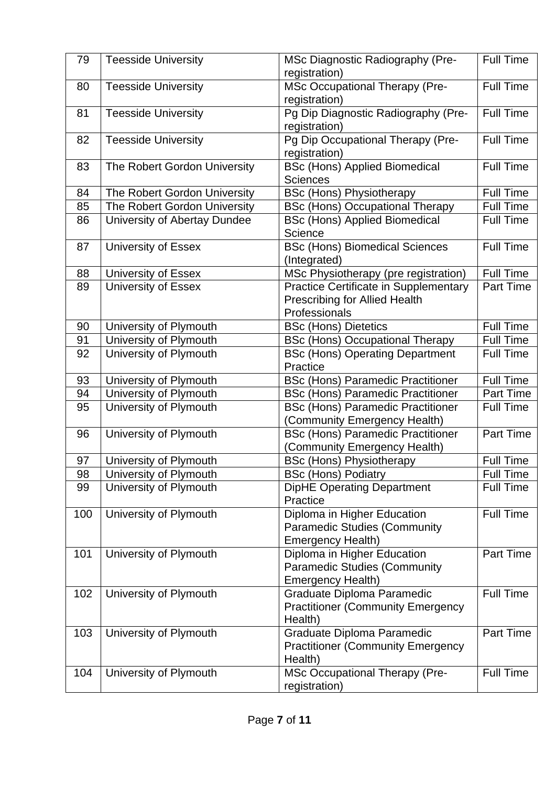| 79  | <b>Teesside University</b>   | MSc Diagnostic Radiography (Pre-<br>registration)                                              | <b>Full Time</b> |
|-----|------------------------------|------------------------------------------------------------------------------------------------|------------------|
| 80  | <b>Teesside University</b>   | <b>MSc Occupational Therapy (Pre-</b><br>registration)                                         | <b>Full Time</b> |
| 81  | <b>Teesside University</b>   | Pg Dip Diagnostic Radiography (Pre-<br>registration)                                           | <b>Full Time</b> |
| 82  | <b>Teesside University</b>   | Pg Dip Occupational Therapy (Pre-<br>registration)                                             | <b>Full Time</b> |
| 83  | The Robert Gordon University | <b>BSc (Hons) Applied Biomedical</b><br><b>Sciences</b>                                        | <b>Full Time</b> |
| 84  | The Robert Gordon University | <b>BSc (Hons) Physiotherapy</b>                                                                | <b>Full Time</b> |
| 85  | The Robert Gordon University | <b>BSc (Hons) Occupational Therapy</b>                                                         | <b>Full Time</b> |
| 86  | University of Abertay Dundee | <b>BSc (Hons) Applied Biomedical</b><br>Science                                                | <b>Full Time</b> |
| 87  | University of Essex          | <b>BSc (Hons) Biomedical Sciences</b><br>(Integrated)                                          | <b>Full Time</b> |
| 88  | University of Essex          | MSc Physiotherapy (pre registration)                                                           | Full Time        |
| 89  | <b>University of Essex</b>   | <b>Practice Certificate in Supplementary</b>                                                   | <b>Part Time</b> |
|     |                              | <b>Prescribing for Allied Health</b>                                                           |                  |
|     |                              | Professionals                                                                                  |                  |
| 90  | University of Plymouth       | <b>BSc (Hons) Dietetics</b>                                                                    | <b>Full Time</b> |
| 91  | University of Plymouth       | <b>BSc (Hons) Occupational Therapy</b>                                                         | <b>Full Time</b> |
| 92  | University of Plymouth       | <b>BSc (Hons) Operating Department</b><br>Practice                                             | <b>Full Time</b> |
| 93  | University of Plymouth       | <b>BSc (Hons) Paramedic Practitioner</b>                                                       | <b>Full Time</b> |
| 94  | University of Plymouth       | <b>BSc (Hons) Paramedic Practitioner</b>                                                       | Part Time        |
| 95  | University of Plymouth       | <b>BSc (Hons) Paramedic Practitioner</b><br>(Community Emergency Health)                       | <b>Full Time</b> |
| 96  | University of Plymouth       | <b>BSc (Hons) Paramedic Practitioner</b><br>(Community Emergency Health)                       | Part Time        |
| 97  | University of Plymouth       | <b>BSc (Hons) Physiotherapy</b>                                                                | <b>Full Time</b> |
| 98  | University of Plymouth       | <b>BSc (Hons) Podiatry</b>                                                                     | <b>Full Time</b> |
| 99  | University of Plymouth       | <b>DipHE Operating Department</b><br>Practice                                                  | <b>Full Time</b> |
| 100 | University of Plymouth       | Diploma in Higher Education<br><b>Paramedic Studies (Community</b><br><b>Emergency Health)</b> | <b>Full Time</b> |
| 101 | University of Plymouth       | Diploma in Higher Education<br><b>Paramedic Studies (Community</b><br><b>Emergency Health)</b> | Part Time        |
| 102 | University of Plymouth       | Graduate Diploma Paramedic<br><b>Practitioner (Community Emergency</b><br>Health)              | <b>Full Time</b> |
| 103 | University of Plymouth       | Graduate Diploma Paramedic<br><b>Practitioner (Community Emergency</b><br>Health)              | Part Time        |
| 104 | University of Plymouth       | <b>MSc Occupational Therapy (Pre-</b><br>registration)                                         | Full Time        |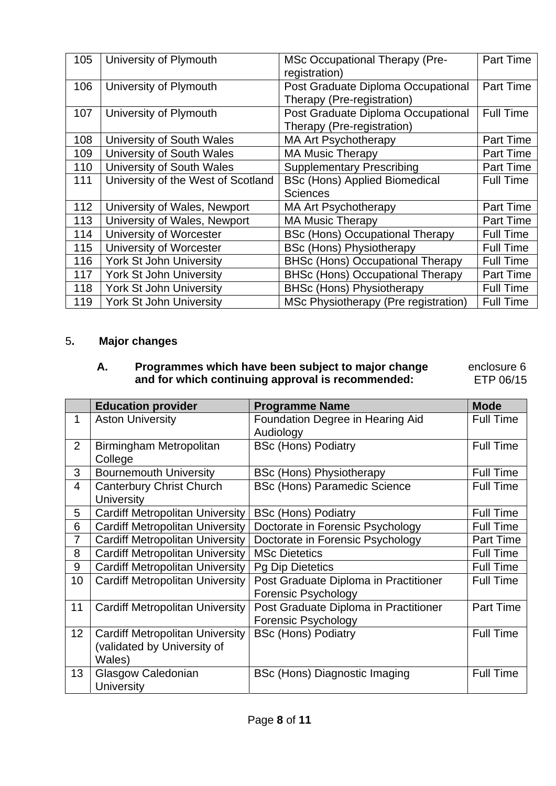| 105 | University of Plymouth             | <b>MSc Occupational Therapy (Pre-</b><br>registration)           | <b>Part Time</b> |
|-----|------------------------------------|------------------------------------------------------------------|------------------|
| 106 | University of Plymouth             | Post Graduate Diploma Occupational<br>Therapy (Pre-registration) | <b>Part Time</b> |
| 107 | University of Plymouth             | Post Graduate Diploma Occupational<br>Therapy (Pre-registration) | <b>Full Time</b> |
| 108 | University of South Wales          | <b>MA Art Psychotherapy</b>                                      | <b>Part Time</b> |
| 109 | University of South Wales          | <b>MA Music Therapy</b>                                          | Part Time        |
| 110 | University of South Wales          | <b>Supplementary Prescribing</b>                                 | <b>Part Time</b> |
| 111 | University of the West of Scotland | <b>BSc (Hons) Applied Biomedical</b>                             | <b>Full Time</b> |
|     |                                    | <b>Sciences</b>                                                  |                  |
| 112 | University of Wales, Newport       | <b>MA Art Psychotherapy</b>                                      | <b>Part Time</b> |
| 113 | University of Wales, Newport       | <b>MA Music Therapy</b>                                          | <b>Part Time</b> |
| 114 | University of Worcester            | <b>BSc (Hons) Occupational Therapy</b>                           | <b>Full Time</b> |
| 115 | University of Worcester            | <b>BSc (Hons) Physiotherapy</b>                                  | <b>Full Time</b> |
| 116 | <b>York St John University</b>     | <b>BHSc (Hons) Occupational Therapy</b>                          | <b>Full Time</b> |
| 117 | <b>York St John University</b>     | <b>BHSc (Hons) Occupational Therapy</b>                          | <b>Part Time</b> |
| 118 | <b>York St John University</b>     | <b>BHSc (Hons) Physiotherapy</b>                                 | <b>Full Time</b> |
| 119 | <b>York St John University</b>     | MSc Physiotherapy (Pre registration)                             | <b>Full Time</b> |

### 5**. Major changes**

### **A. Programmes which have been subject to major change and for which continuing approval is recommended:**

 enclosure 6 ETP 06/15

|                | <b>Education provider</b>              | <b>Programme Name</b>                 | <b>Mode</b>      |
|----------------|----------------------------------------|---------------------------------------|------------------|
| 1              | <b>Aston University</b>                | Foundation Degree in Hearing Aid      | <b>Full Time</b> |
|                |                                        | Audiology                             |                  |
| $\overline{2}$ | Birmingham Metropolitan                | <b>BSc (Hons) Podiatry</b>            | <b>Full Time</b> |
|                | College                                |                                       |                  |
| 3              | <b>Bournemouth University</b>          | <b>BSc (Hons) Physiotherapy</b>       | <b>Full Time</b> |
| 4              | <b>Canterbury Christ Church</b>        | <b>BSc (Hons) Paramedic Science</b>   | <b>Full Time</b> |
|                | <b>University</b>                      |                                       |                  |
| 5              | <b>Cardiff Metropolitan University</b> | <b>BSc (Hons) Podiatry</b>            | <b>Full Time</b> |
| 6              | <b>Cardiff Metropolitan University</b> | Doctorate in Forensic Psychology      | <b>Full Time</b> |
| $\overline{7}$ | <b>Cardiff Metropolitan University</b> | Doctorate in Forensic Psychology      | Part Time        |
| 8              | <b>Cardiff Metropolitan University</b> | <b>MSc Dietetics</b>                  | <b>Full Time</b> |
| 9              | <b>Cardiff Metropolitan University</b> | <b>Pg Dip Dietetics</b>               | <b>Full Time</b> |
| 10             | <b>Cardiff Metropolitan University</b> | Post Graduate Diploma in Practitioner | <b>Full Time</b> |
|                |                                        | <b>Forensic Psychology</b>            |                  |
| 11             | <b>Cardiff Metropolitan University</b> | Post Graduate Diploma in Practitioner | Part Time        |
|                |                                        | <b>Forensic Psychology</b>            |                  |
| 12             | <b>Cardiff Metropolitan University</b> | <b>BSc (Hons) Podiatry</b>            | <b>Full Time</b> |
|                | (validated by University of            |                                       |                  |
|                | Wales)                                 |                                       |                  |
| 13             | Glasgow Caledonian                     | BSc (Hons) Diagnostic Imaging         | <b>Full Time</b> |
|                | <b>University</b>                      |                                       |                  |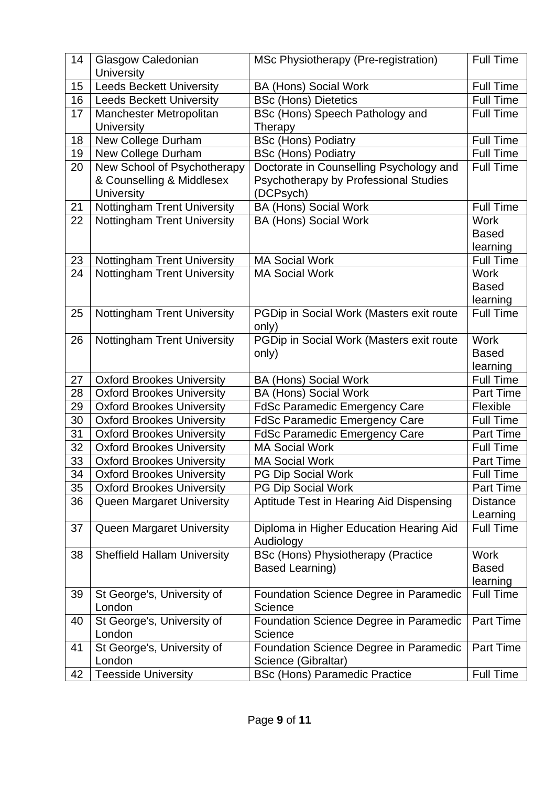| 14 | Glasgow Caledonian<br><b>University</b>      | MSc Physiotherapy (Pre-registration)          | <b>Full Time</b>             |
|----|----------------------------------------------|-----------------------------------------------|------------------------------|
| 15 | <b>Leeds Beckett University</b>              | <b>BA (Hons) Social Work</b>                  | <b>Full Time</b>             |
| 16 | <b>Leeds Beckett University</b>              | <b>BSc (Hons) Dietetics</b>                   | <b>Full Time</b>             |
| 17 | Manchester Metropolitan<br><b>University</b> | BSc (Hons) Speech Pathology and<br>Therapy    | <b>Full Time</b>             |
| 18 | New College Durham                           | <b>BSc (Hons) Podiatry</b>                    | <b>Full Time</b>             |
| 19 | New College Durham                           | <b>BSc (Hons) Podiatry</b>                    | <b>Full Time</b>             |
| 20 | New School of Psychotherapy                  | Doctorate in Counselling Psychology and       | <b>Full Time</b>             |
|    | & Counselling & Middlesex                    | Psychotherapy by Professional Studies         |                              |
|    | <b>University</b>                            | (DCPsych)                                     |                              |
| 21 | Nottingham Trent University                  | <b>BA (Hons) Social Work</b>                  | <b>Full Time</b>             |
| 22 | Nottingham Trent University                  | <b>BA (Hons) Social Work</b>                  | <b>Work</b>                  |
|    |                                              |                                               | <b>Based</b>                 |
| 23 | <b>Nottingham Trent University</b>           | <b>MA Social Work</b>                         | learning<br><b>Full Time</b> |
| 24 | <b>Nottingham Trent University</b>           | <b>MA Social Work</b>                         | <b>Work</b>                  |
|    |                                              |                                               | <b>Based</b>                 |
|    |                                              |                                               | learning                     |
| 25 | <b>Nottingham Trent University</b>           | PGDip in Social Work (Masters exit route      | <b>Full Time</b>             |
|    |                                              | only)                                         |                              |
| 26 | <b>Nottingham Trent University</b>           | PGDip in Social Work (Masters exit route      | <b>Work</b>                  |
|    |                                              | only)                                         | <b>Based</b>                 |
|    |                                              |                                               | learning                     |
| 27 | <b>Oxford Brookes University</b>             | <b>BA (Hons) Social Work</b>                  | <b>Full Time</b>             |
| 28 | <b>Oxford Brookes University</b>             | <b>BA (Hons) Social Work</b>                  | <b>Part Time</b>             |
| 29 | <b>Oxford Brookes University</b>             | <b>FdSc Paramedic Emergency Care</b>          | Flexible                     |
| 30 | <b>Oxford Brookes University</b>             | <b>FdSc Paramedic Emergency Care</b>          | <b>Full Time</b>             |
| 31 | <b>Oxford Brookes University</b>             | <b>FdSc Paramedic Emergency Care</b>          | <b>Part Time</b>             |
| 32 | <b>Oxford Brookes University</b>             | <b>MA Social Work</b>                         | <b>Full Time</b>             |
| 33 | <b>Oxford Brookes University</b>             | <b>MA Social Work</b>                         | Part Time                    |
| 34 | <b>Oxford Brookes University</b>             | PG Dip Social Work                            | <b>Full Time</b>             |
| 35 | <b>Oxford Brookes University</b>             | <b>PG Dip Social Work</b>                     | <b>Part Time</b>             |
| 36 | <b>Queen Margaret University</b>             | Aptitude Test in Hearing Aid Dispensing       | <b>Distance</b>              |
|    |                                              | Diploma in Higher Education Hearing Aid       | Learning<br><b>Full Time</b> |
| 37 | <b>Queen Margaret University</b>             | Audiology                                     |                              |
| 38 | <b>Sheffield Hallam University</b>           | <b>BSc (Hons) Physiotherapy (Practice</b>     | <b>Work</b>                  |
|    |                                              | Based Learning)                               | <b>Based</b>                 |
|    |                                              |                                               | learning                     |
| 39 | St George's, University of                   | <b>Foundation Science Degree in Paramedic</b> | <b>Full Time</b>             |
|    | London                                       | Science                                       |                              |
| 40 | St George's, University of                   | <b>Foundation Science Degree in Paramedic</b> | Part Time                    |
|    | London                                       | Science                                       |                              |
| 41 | St George's, University of                   | <b>Foundation Science Degree in Paramedic</b> | Part Time                    |
|    | London                                       | Science (Gibraltar)                           |                              |
| 42 | <b>Teesside University</b>                   | <b>BSc (Hons) Paramedic Practice</b>          | Full Time                    |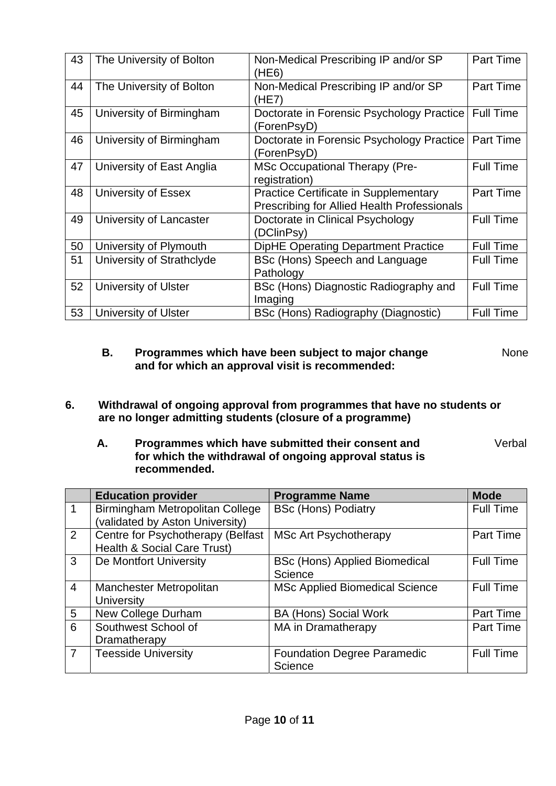| 43 | The University of Bolton  | Non-Medical Prescribing IP and/or SP<br>(HE6)                                               | Part Time        |
|----|---------------------------|---------------------------------------------------------------------------------------------|------------------|
| 44 | The University of Bolton  | Non-Medical Prescribing IP and/or SP<br>(HE7)                                               | Part Time        |
| 45 | University of Birmingham  | Doctorate in Forensic Psychology Practice   Full Time<br>(ForenPsyD)                        |                  |
| 46 | University of Birmingham  | Doctorate in Forensic Psychology Practice<br>(ForenPsyD)                                    | Part Time        |
| 47 | University of East Anglia | MSc Occupational Therapy (Pre-<br>registration)                                             | <b>Full Time</b> |
| 48 | University of Essex       | <b>Practice Certificate in Supplementary</b><br>Prescribing for Allied Health Professionals | Part Time        |
| 49 | University of Lancaster   | Doctorate in Clinical Psychology<br>(DClinPsy)                                              | <b>Full Time</b> |
| 50 | University of Plymouth    | <b>DipHE Operating Department Practice</b>                                                  | <b>Full Time</b> |
| 51 | University of Strathclyde | BSc (Hons) Speech and Language<br>Pathology                                                 | <b>Full Time</b> |
| 52 | University of Ulster      | BSc (Hons) Diagnostic Radiography and<br>Imaging                                            | <b>Full Time</b> |
| 53 | University of Ulster      | BSc (Hons) Radiography (Diagnostic)                                                         | <b>Full Time</b> |

### **B. Programmes which have been subject to major change and for which an approval visit is recommended:**

None

- **6. Withdrawal of ongoing approval from programmes that have no students or are no longer admitting students (closure of a programme)** 
	- **A. Programmes which have submitted their consent and for which the withdrawal of ongoing approval status is recommended.**  Verbal

|                | <b>Education provider</b>         | <b>Programme Name</b>                 | <b>Mode</b>      |
|----------------|-----------------------------------|---------------------------------------|------------------|
| 1              | Birmingham Metropolitan College   | <b>BSc (Hons) Podiatry</b>            | <b>Full Time</b> |
|                | (validated by Aston University)   |                                       |                  |
| 2              | Centre for Psychotherapy (Belfast | <b>MSc Art Psychotherapy</b>          | Part Time        |
|                | Health & Social Care Trust)       |                                       |                  |
| 3              | De Montfort University            | <b>BSc (Hons) Applied Biomedical</b>  | <b>Full Time</b> |
|                |                                   | Science                               |                  |
| $\overline{4}$ | Manchester Metropolitan           | <b>MSc Applied Biomedical Science</b> | <b>Full Time</b> |
|                | <b>University</b>                 |                                       |                  |
| 5              | New College Durham                | <b>BA (Hons) Social Work</b>          | Part Time        |
| 6              | Southwest School of               | MA in Dramatherapy                    | Part Time        |
|                | Dramatherapy                      |                                       |                  |
| $\overline{7}$ | <b>Teesside University</b>        | <b>Foundation Degree Paramedic</b>    | <b>Full Time</b> |
|                |                                   | Science                               |                  |